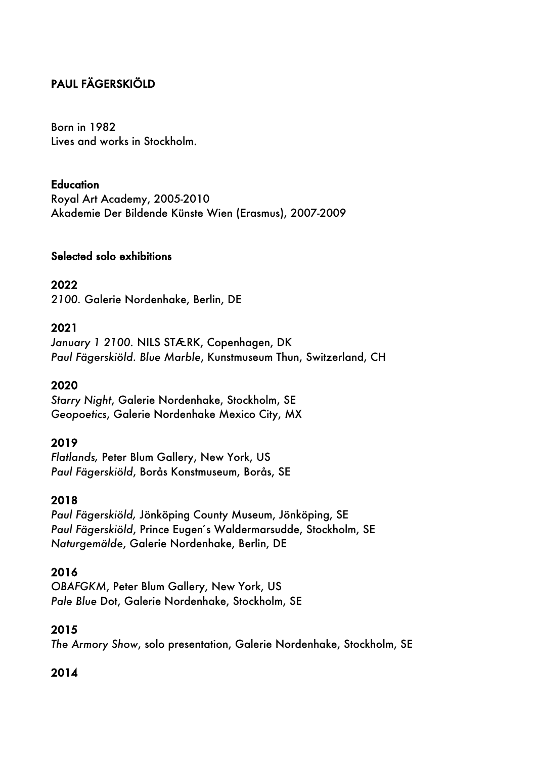# PAUL FÄGERSKIÖLD

Born in 1982 Lives and works in Stockholm.

#### **Education**

Royal Art Academy, 2005-2010 Akademie Der Bildende Künste Wien (Erasmus), 2007-2009

#### Selected solo exhibitions

#### 2022

*2100.* Galerie Nordenhake, Berlin, DE

#### 2021

*January 1 2100.* NILS STÆRK, Copenhagen, DK *Paul Fägerskiöld. Blue Marble*, Kunstmuseum Thun, Switzerland, CH

#### 2020

*Starry Night*, Galerie Nordenhake, Stockholm, SE *Geopoetics*, Galerie Nordenhake Mexico City, MX

#### 2019

*Flatlands,* Peter Blum Gallery, New York, US *Paul Fägerskiöld*, Borås Konstmuseum, Borås, SE

#### 2018

*Paul Fägerskiöld,* Jönköping County Museum, Jönköping, SE Paul Fägerskiöld, Prince Eugen's Waldermarsudde, Stockholm, SE *Naturgemälde*, Galerie Nordenhake, Berlin, DE

#### 2016

*OBAFGKM*, Peter Blum Gallery, New York, US *Pale Blue* Dot, Galerie Nordenhake, Stockholm, SE

## 2015

*The Armory Show*, solo presentation, Galerie Nordenhake, Stockholm, SE

## 2014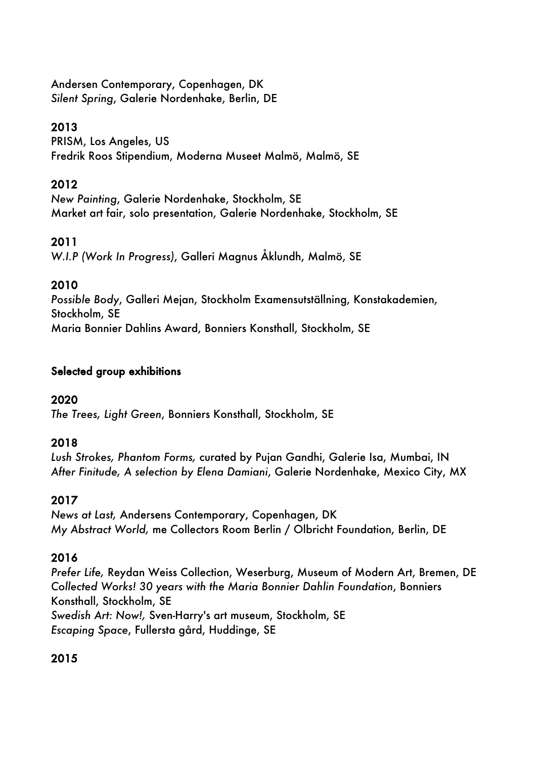Andersen Contemporary, Copenhagen, DK *Silent Spring*, Galerie Nordenhake, Berlin, DE

## 2013

PRISM, Los Angeles, US Fredrik Roos Stipendium, Moderna Museet Malmö, Malmö, SE

## 2012

*New Painting*, Galerie Nordenhake, Stockholm, SE Market art fair, solo presentation, Galerie Nordenhake, Stockholm, SE

## 2011

*W.I.P (Work In Progress)*, Galleri Magnus Åklundh, Malmö, SE

## 2010

*Possible Body*, Galleri Mejan, Stockholm Examensutställning, Konstakademien, Stockholm, SE Maria Bonnier Dahlins Award, Bonniers Konsthall, Stockholm, SE

#### Selected group exhibitions

## 2020

*The Trees, Light Green*, Bonniers Konsthall, Stockholm, SE

## 2018

*Lush Strokes, Phantom Forms,* curated by Pujan Gandhi, Galerie Isa, Mumbai, IN *After Finitude, A selection by Elena Damiani*, Galerie Nordenhake, Mexico City, MX

## 2017

*News at Last,* Andersens Contemporary, Copenhagen, DK *My Abstract World,* me Collectors Room Berlin / Olbricht Foundation, Berlin, DE

## 2016

*Prefer Life,* Reydan Weiss Collection, Weserburg, Museum of Modern Art, Bremen, DE *Collected Works! 30 years with the Maria Bonnier Dahlin Foundation*, Bonniers Konsthall, Stockholm, SE *Swedish Art: Now!,* Sven-Harry's art museum, Stockholm, SE *Escaping Space*, Fullersta gård, Huddinge, SE

# 2015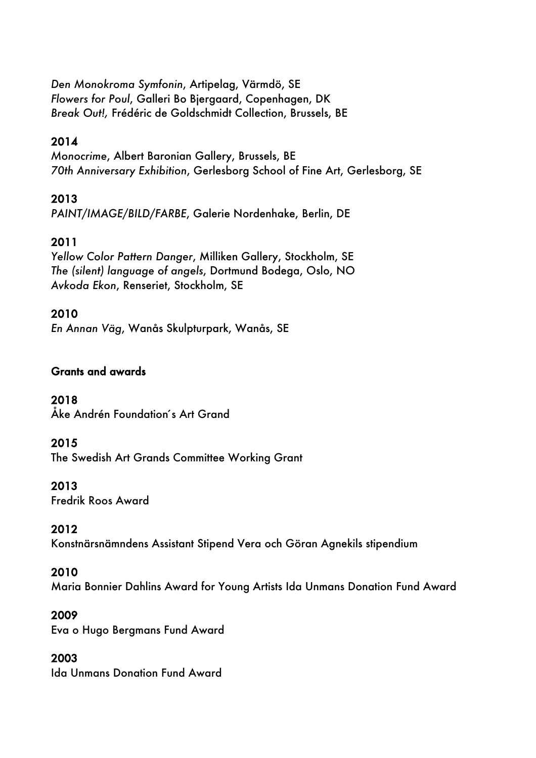*Den Monokroma Symfonin*, Artipelag, Värmdö, SE *Flowers for Poul*, Galleri Bo Bjergaard, Copenhagen, DK *Break Out!,* Frédéric de Goldschmidt Collection, Brussels, BE

## 2014

*Monocrime*, Albert Baronian Gallery, Brussels, BE *70th Anniversary Exhibition*, Gerlesborg School of Fine Art, Gerlesborg, SE

# 2013

*PAINT/IMAGE/BILD/FARBE*, Galerie Nordenhake, Berlin, DE

# 2011

*Yellow Color Pattern Danger*, Milliken Gallery, Stockholm, SE *The (silent) language of angels*, Dortmund Bodega, Oslo, NO *Avkoda Ekon*, Renseriet, Stockholm, SE

## 2010

*En Annan Väg*, Wanås Skulpturpark, Wanås, SE

## Grants and awards

2018

Åke Andrén Foundation's Art Grand

## 2015

The Swedish Art Grands Committee Working Grant

## 2013

Fredrik Roos Award

## 2012

Konstnärsnämndens Assistant Stipend Vera och Göran Agnekils stipendium

## 2010

Maria Bonnier Dahlins Award for Young Artists Ida Unmans Donation Fund Award

## 2009

Eva o Hugo Bergmans Fund Award

## 2003

Ida Unmans Donation Fund Award